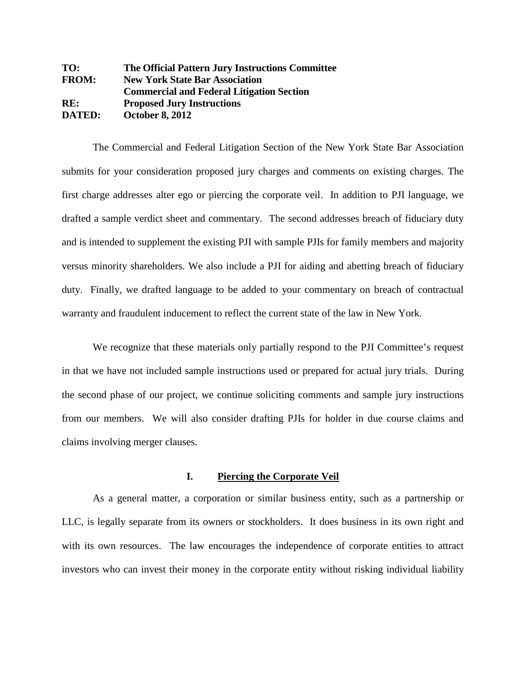**TO: The Official Pattern Jury Instructions Committee FROM: New York State Bar Association Commercial and Federal Litigation Section RE: Proposed Jury Instructions DATED: October 8, 2012**

The Commercial and Federal Litigation Section of the New York State Bar Association submits for your consideration proposed jury charges and comments on existing charges. The first charge addresses alter ego or piercing the corporate veil. In addition to PJI language, we drafted a sample verdict sheet and commentary. The second addresses breach of fiduciary duty and is intended to supplement the existing PJI with sample PJIs for family members and majority versus minority shareholders. We also include a PJI for aiding and abetting breach of fiduciary duty. Finally, we drafted language to be added to your commentary on breach of contractual warranty and fraudulent inducement to reflect the current state of the law in New York.

We recognize that these materials only partially respond to the PJI Committee's request in that we have not included sample instructions used or prepared for actual jury trials. During the second phase of our project, we continue soliciting comments and sample jury instructions from our members. We will also consider drafting PJIs for holder in due course claims and claims involving merger clauses.

#### **I. Piercing the Corporate Veil**

As a general matter, a corporation or similar business entity, such as a partnership or LLC, is legally separate from its owners or stockholders. It does business in its own right and with its own resources. The law encourages the independence of corporate entities to attract investors who can invest their money in the corporate entity without risking individual liability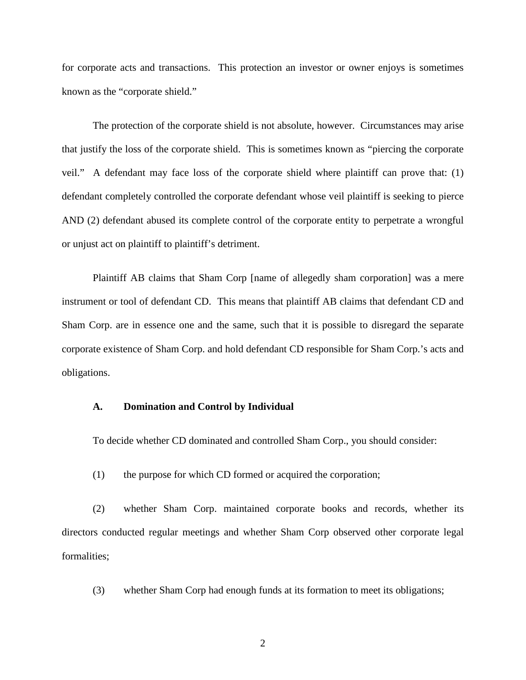for corporate acts and transactions. This protection an investor or owner enjoys is sometimes known as the "corporate shield."

The protection of the corporate shield is not absolute, however. Circumstances may arise that justify the loss of the corporate shield. This is sometimes known as "piercing the corporate veil." A defendant may face loss of the corporate shield where plaintiff can prove that: (1) defendant completely controlled the corporate defendant whose veil plaintiff is seeking to pierce AND (2) defendant abused its complete control of the corporate entity to perpetrate a wrongful or unjust act on plaintiff to plaintiff's detriment.

Plaintiff AB claims that Sham Corp [name of allegedly sham corporation] was a mere instrument or tool of defendant CD. This means that plaintiff AB claims that defendant CD and Sham Corp. are in essence one and the same, such that it is possible to disregard the separate corporate existence of Sham Corp. and hold defendant CD responsible for Sham Corp.'s acts and obligations.

#### **A. Domination and Control by Individual**

To decide whether CD dominated and controlled Sham Corp., you should consider:

(1) the purpose for which CD formed or acquired the corporation;

(2) whether Sham Corp. maintained corporate books and records, whether its directors conducted regular meetings and whether Sham Corp observed other corporate legal formalities;

(3) whether Sham Corp had enough funds at its formation to meet its obligations;

2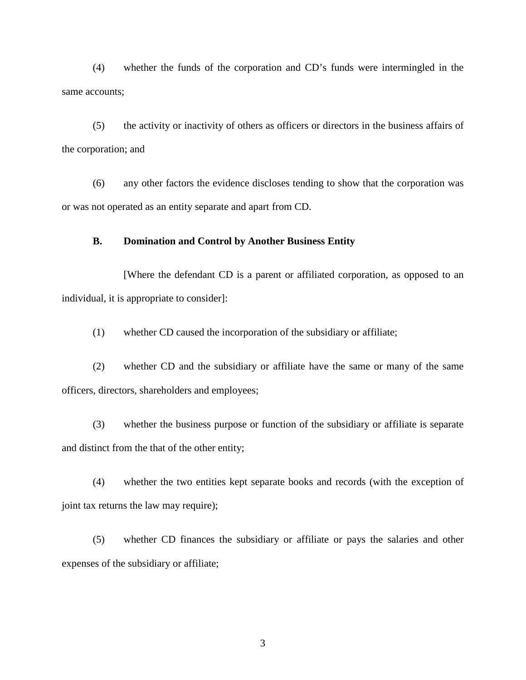(4) whether the funds of the corporation and CD's funds were intermingled in the same accounts;

(5) the activity or inactivity of others as officers or directors in the business affairs of the corporation; and

(6) any other factors the evidence discloses tending to show that the corporation was or was not operated as an entity separate and apart from CD.

## **B. Domination and Control by Another Business Entity**

[Where the defendant CD is a parent or affiliated corporation, as opposed to an individual, it is appropriate to consider]:

(1) whether CD caused the incorporation of the subsidiary or affiliate;

(2) whether CD and the subsidiary or affiliate have the same or many of the same officers, directors, shareholders and employees;

(3) whether the business purpose or function of the subsidiary or affiliate is separate and distinct from the that of the other entity;

(4) whether the two entities kept separate books and records (with the exception of joint tax returns the law may require);

(5) whether CD finances the subsidiary or affiliate or pays the salaries and other expenses of the subsidiary or affiliate;

3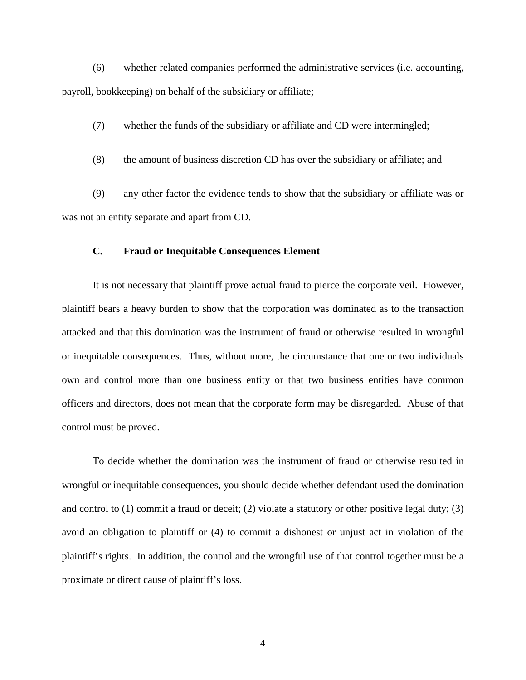(6) whether related companies performed the administrative services (i.e. accounting, payroll, bookkeeping) on behalf of the subsidiary or affiliate;

(7) whether the funds of the subsidiary or affiliate and CD were intermingled;

(8) the amount of business discretion CD has over the subsidiary or affiliate; and

(9) any other factor the evidence tends to show that the subsidiary or affiliate was or was not an entity separate and apart from CD.

## **C. Fraud or Inequitable Consequences Element**

It is not necessary that plaintiff prove actual fraud to pierce the corporate veil. However, plaintiff bears a heavy burden to show that the corporation was dominated as to the transaction attacked and that this domination was the instrument of fraud or otherwise resulted in wrongful or inequitable consequences. Thus, without more, the circumstance that one or two individuals own and control more than one business entity or that two business entities have common officers and directors, does not mean that the corporate form may be disregarded. Abuse of that control must be proved.

To decide whether the domination was the instrument of fraud or otherwise resulted in wrongful or inequitable consequences, you should decide whether defendant used the domination and control to (1) commit a fraud or deceit; (2) violate a statutory or other positive legal duty; (3) avoid an obligation to plaintiff or (4) to commit a dishonest or unjust act in violation of the plaintiff's rights. In addition, the control and the wrongful use of that control together must be a proximate or direct cause of plaintiff's loss.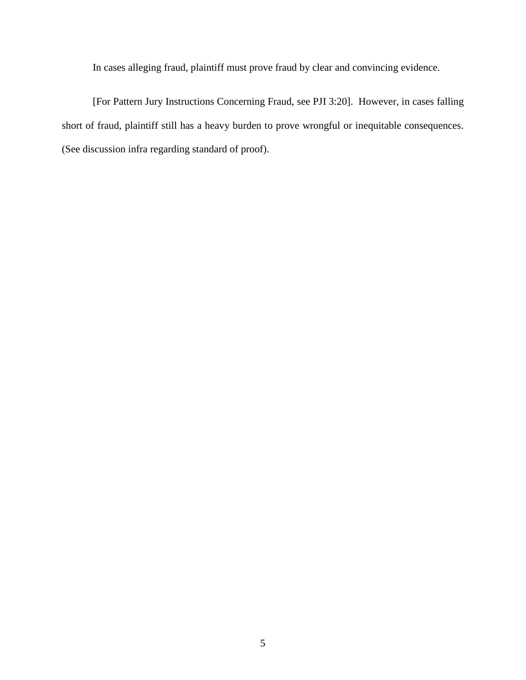In cases alleging fraud, plaintiff must prove fraud by clear and convincing evidence.

[For Pattern Jury Instructions Concerning Fraud, see PJI 3:20]. However, in cases falling short of fraud, plaintiff still has a heavy burden to prove wrongful or inequitable consequences. (See discussion infra regarding standard of proof).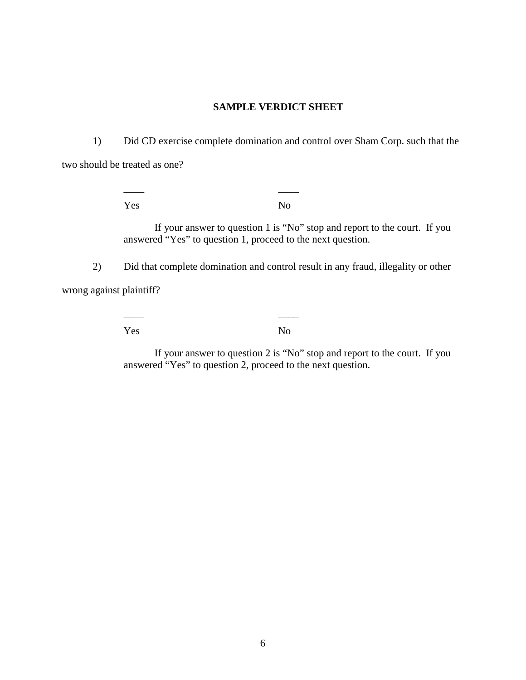## **SAMPLE VERDICT SHEET**

1) Did CD exercise complete domination and control over Sham Corp. such that the two should be treated as one?

\_\_\_\_ \_\_\_\_

\_\_\_\_ \_\_\_\_

Yes No

If your answer to question 1 is "No" stop and report to the court. If you answered "Yes" to question 1, proceed to the next question.

2) Did that complete domination and control result in any fraud, illegality or other wrong against plaintiff?

Yes No

If your answer to question 2 is "No" stop and report to the court. If you answered "Yes" to question 2, proceed to the next question.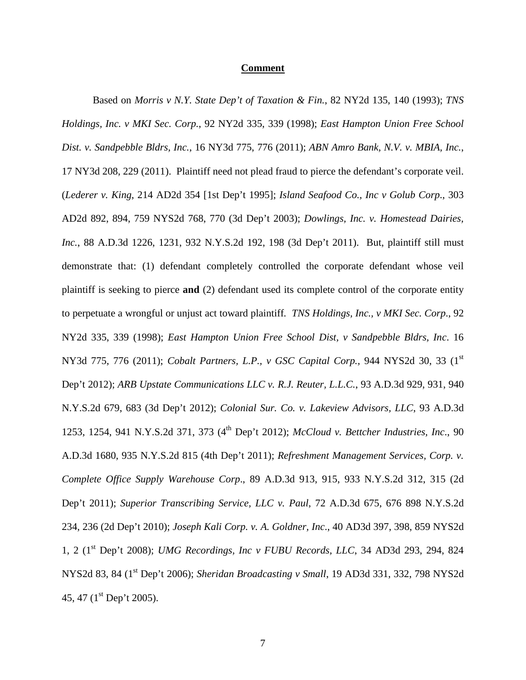#### **Comment**

Based on *Morris v N.Y. State Dep't of Taxation & Fin.*, 82 NY2d 135, 140 (1993); *TNS Holdings, Inc. v MKI Sec. Corp.*, 92 NY2d 335, 339 (1998); *East Hampton Union Free School Dist. v. Sandpebble Bldrs, Inc.*, 16 NY3d 775, 776 (2011); *ABN Amro Bank, N.V. v. MBIA, Inc.*, 17 NY3d 208, 229 (2011). Plaintiff need not plead fraud to pierce the defendant's corporate veil. (*Lederer v. King*, 214 AD2d 354 [1st Dep't 1995]; *Island Seafood Co., Inc v Golub Corp*., 303 AD2d 892, 894, 759 NYS2d 768, 770 (3d Dep't 2003); *Dowlings, Inc. v. Homestead Dairies, Inc.*, 88 A.D.3d 1226, 1231, 932 N.Y.S.2d 192, 198 (3d Dep't 2011). But, plaintiff still must demonstrate that: (1) defendant completely controlled the corporate defendant whose veil plaintiff is seeking to pierce **and** (2) defendant used its complete control of the corporate entity to perpetuate a wrongful or unjust act toward plaintiff*. TNS Holdings, Inc., v MKI Sec. Corp*., 92 NY2d 335, 339 (1998); *East Hampton Union Free School Dist, v Sandpebble Bldrs, Inc*. 16 NY3d 775, 776 (2011); *Cobalt Partners, L.P., v GSC Capital Corp.,* 944 NYS2d 30, 33 (1st Dep't 2012); *ARB Upstate Communications LLC v. R.J. Reuter, L.L.C.*, 93 A.D.3d 929, 931, 940 N.Y.S.2d 679, 683 (3d Dep't 2012); *Colonial Sur. Co. v. Lakeview Advisors, LLC*, 93 A.D.3d 1253, 1254, 941 N.Y.S.2d 371, 373 (4<sup>th</sup> Dep't 2012); *McCloud v. Bettcher Industries, Inc.*, 90 A.D.3d 1680, 935 N.Y.S.2d 815 (4th Dep't 2011); *Refreshment Management Services, Corp. v. Complete Office Supply Warehouse Corp*., 89 A.D.3d 913, 915, 933 N.Y.S.2d 312, 315 (2d Dep't 2011); *Superior Transcribing Service, LLC v. Paul*, 72 A.D.3d 675, 676 898 N.Y.S.2d 234, 236 (2d Dep't 2010); *Joseph Kali Corp. v. A. Goldner, Inc*., 40 AD3d 397, 398, 859 NYS2d 1, 2 (1st Dep't 2008); *UMG Recordings, Inc v FUBU Records, LLC*, 34 AD3d 293, 294, 824 NYS2d 83, 84 (1<sup>st</sup> Dep't 2006); *Sheridan Broadcasting v Small*, 19 AD3d 331, 332, 798 NYS2d 45, 47 ( $1^{\text{st}}$  Dep't 2005).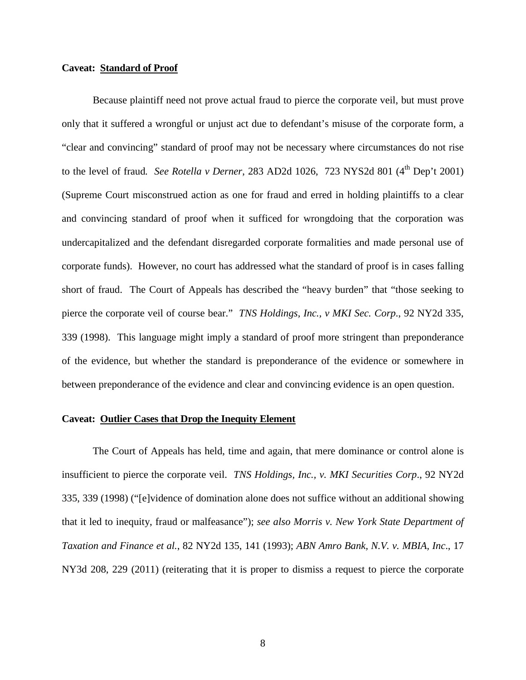## **Caveat: Standard of Proof**

Because plaintiff need not prove actual fraud to pierce the corporate veil, but must prove only that it suffered a wrongful or unjust act due to defendant's misuse of the corporate form, a "clear and convincing" standard of proof may not be necessary where circumstances do not rise to the level of fraud. See Rotella v Derner, 283 AD2d 1026, 723 NYS2d 801 (4<sup>th</sup> Dep't 2001) (Supreme Court misconstrued action as one for fraud and erred in holding plaintiffs to a clear and convincing standard of proof when it sufficed for wrongdoing that the corporation was undercapitalized and the defendant disregarded corporate formalities and made personal use of corporate funds). However, no court has addressed what the standard of proof is in cases falling short of fraud. The Court of Appeals has described the "heavy burden" that "those seeking to pierce the corporate veil of course bear." *TNS Holdings, Inc., v MKI Sec. Corp*., 92 NY2d 335, 339 (1998). This language might imply a standard of proof more stringent than preponderance of the evidence, but whether the standard is preponderance of the evidence or somewhere in between preponderance of the evidence and clear and convincing evidence is an open question.

#### **Caveat: Outlier Cases that Drop the Inequity Element**

The Court of Appeals has held, time and again, that mere dominance or control alone is insufficient to pierce the corporate veil. *TNS Holdings, Inc., v. MKI Securities Corp*., 92 NY2d 335, 339 (1998) ("[e]vidence of domination alone does not suffice without an additional showing that it led to inequity, fraud or malfeasance"); *see also Morris v. New York State Department of Taxation and Finance et al.*, 82 NY2d 135, 141 (1993); *ABN Amro Bank, N.V. v. MBIA, Inc*., 17 NY3d 208, 229 (2011) (reiterating that it is proper to dismiss a request to pierce the corporate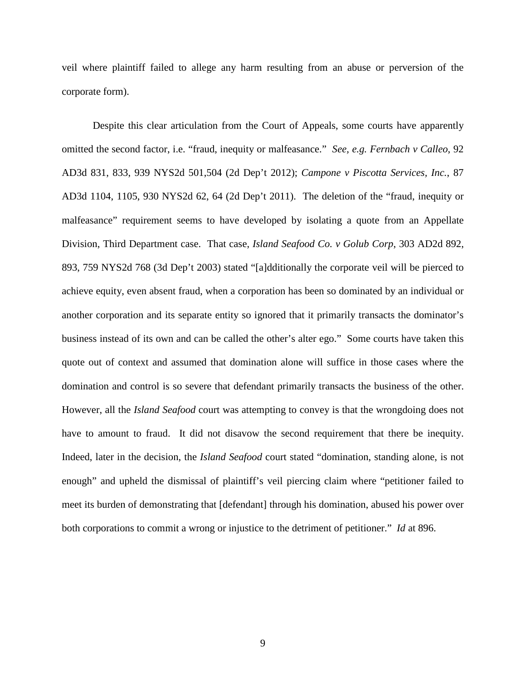veil where plaintiff failed to allege any harm resulting from an abuse or perversion of the corporate form).

Despite this clear articulation from the Court of Appeals, some courts have apparently omitted the second factor, i.e. "fraud, inequity or malfeasance." *See, e.g. Fernbach v Calleo*, 92 AD3d 831, 833, 939 NYS2d 501,504 (2d Dep't 2012); *Campone v Piscotta Services, Inc.*, 87 AD3d 1104, 1105, 930 NYS2d 62, 64 (2d Dep't 2011). The deletion of the "fraud, inequity or malfeasance" requirement seems to have developed by isolating a quote from an Appellate Division, Third Department case. That case, *Island Seafood Co. v Golub Corp*, 303 AD2d 892, 893, 759 NYS2d 768 (3d Dep't 2003) stated "[a]dditionally the corporate veil will be pierced to achieve equity, even absent fraud, when a corporation has been so dominated by an individual or another corporation and its separate entity so ignored that it primarily transacts the dominator's business instead of its own and can be called the other's alter ego." Some courts have taken this quote out of context and assumed that domination alone will suffice in those cases where the domination and control is so severe that defendant primarily transacts the business of the other. However, all the *Island Seafood* court was attempting to convey is that the wrongdoing does not have to amount to fraud. It did not disavow the second requirement that there be inequity. Indeed, later in the decision, the *Island Seafood* court stated "domination, standing alone, is not enough" and upheld the dismissal of plaintiff's veil piercing claim where "petitioner failed to meet its burden of demonstrating that [defendant] through his domination, abused his power over both corporations to commit a wrong or injustice to the detriment of petitioner." *Id* at 896.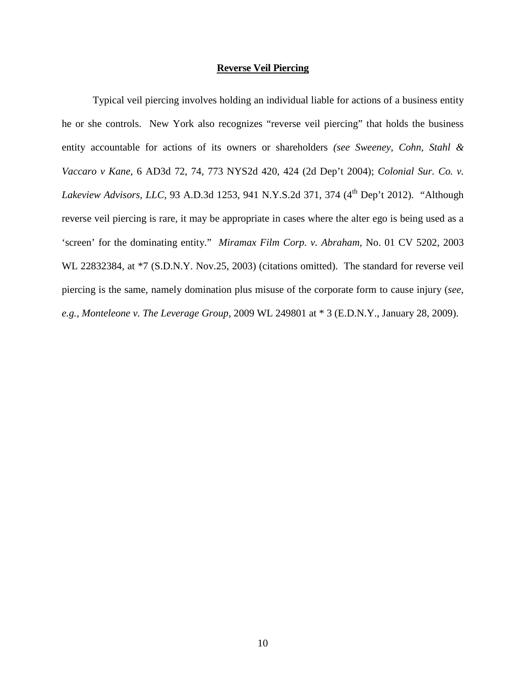#### **Reverse Veil Piercing**

Typical veil piercing involves holding an individual liable for actions of a business entity he or she controls. New York also recognizes "reverse veil piercing" that holds the business entity accountable for actions of its owners or shareholders *(see Sweeney, Cohn, Stahl & Vaccaro v Kane*, 6 AD3d 72, 74, 773 NYS2d 420, 424 (2d Dep't 2004); *Colonial Sur. Co. v. Lakeview Advisors, LLC*, 93 A.D.3d 1253, 941 N.Y.S.2d 371, 374 (4<sup>th</sup> Dep't 2012). "Although reverse veil piercing is rare, it may be appropriate in cases where the alter ego is being used as a 'screen' for the dominating entity." *Miramax Film Corp. v. Abraham,* No. 01 CV 5202, 2003 WL 22832384, at \*7 (S.D.N.Y. Nov.25, 2003) (citations omitted). The standard for reverse veil piercing is the same, namely domination plus misuse of the corporate form to cause injury (*see, e.g., Monteleone v. The Leverage Group*, 2009 WL 249801 at \* 3 (E.D.N.Y., January 28, 2009).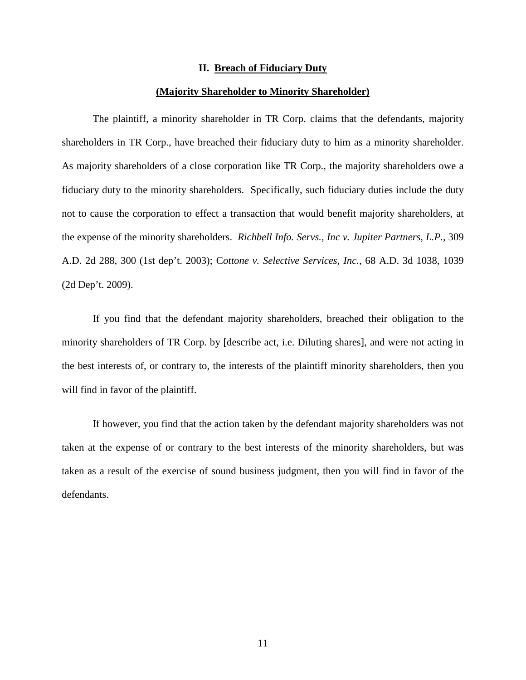#### **II. Breach of Fiduciary Duty**

#### **(Majority Shareholder to Minority Shareholder)**

The plaintiff, a minority shareholder in TR Corp. claims that the defendants, majority shareholders in TR Corp., have breached their fiduciary duty to him as a minority shareholder. As majority shareholders of a close corporation like TR Corp., the majority shareholders owe a fiduciary duty to the minority shareholders. Specifically, such fiduciary duties include the duty not to cause the corporation to effect a transaction that would benefit majority shareholders, at the expense of the minority shareholders. *Richbell Info. Servs., Inc v. Jupiter Partners, L.P.*, 309 A.D. 2d 288, 300 (1st dep't. 2003); C*ottone v. Selective Services, Inc.*, 68 A.D. 3d 1038, 1039 (2d Dep't. 2009).

If you find that the defendant majority shareholders, breached their obligation to the minority shareholders of TR Corp. by [describe act, i.e. Diluting shares], and were not acting in the best interests of, or contrary to, the interests of the plaintiff minority shareholders, then you will find in favor of the plaintiff.

If however, you find that the action taken by the defendant majority shareholders was not taken at the expense of or contrary to the best interests of the minority shareholders, but was taken as a result of the exercise of sound business judgment, then you will find in favor of the defendants.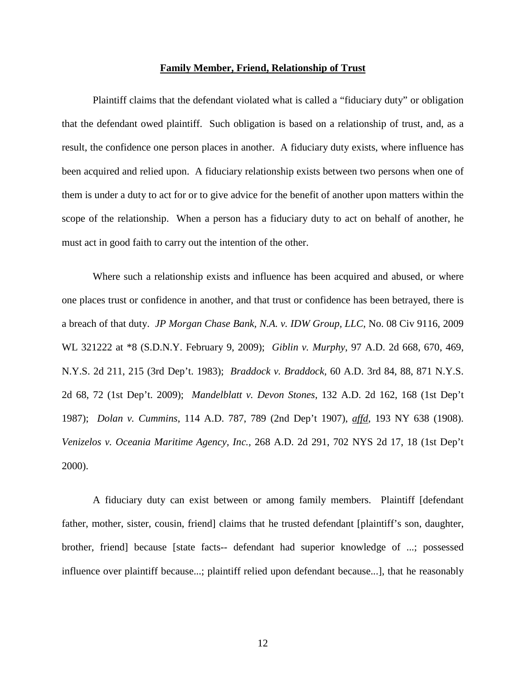#### **Family Member, Friend, Relationship of Trust**

Plaintiff claims that the defendant violated what is called a "fiduciary duty" or obligation that the defendant owed plaintiff. Such obligation is based on a relationship of trust, and, as a result, the confidence one person places in another. A fiduciary duty exists, where influence has been acquired and relied upon. A fiduciary relationship exists between two persons when one of them is under a duty to act for or to give advice for the benefit of another upon matters within the scope of the relationship. When a person has a fiduciary duty to act on behalf of another, he must act in good faith to carry out the intention of the other.

Where such a relationship exists and influence has been acquired and abused, or where one places trust or confidence in another, and that trust or confidence has been betrayed, there is a breach of that duty. *JP Morgan Chase Bank, N.A. v. IDW Group, LLC*, No. 08 Civ 9116, 2009 WL 321222 at \*8 (S.D.N.Y. February 9, 2009); *Giblin v. Murphy*, 97 A.D. 2d 668, 670, 469, N.Y.S. 2d 211, 215 (3rd Dep't. 1983); *Braddock v. Braddock,* 60 A.D. 3rd 84, 88, 871 N.Y.S. 2d 68, 72 (1st Dep't. 2009); *Mandelblatt v. Devon Stones*, 132 A.D. 2d 162, 168 (1st Dep't 1987); *Dolan v. Cummins*, 114 A.D. 787, 789 (2nd Dep't 1907), *affd*, 193 NY 638 (1908). *Venizelos v. Oceania Maritime Agency, Inc.,* 268 A.D. 2d 291, 702 NYS 2d 17, 18 (1st Dep't 2000).

A fiduciary duty can exist between or among family members. Plaintiff [defendant father, mother, sister, cousin, friend] claims that he trusted defendant [plaintiff's son, daughter, brother, friend] because [state facts-- defendant had superior knowledge of ...; possessed influence over plaintiff because...; plaintiff relied upon defendant because...], that he reasonably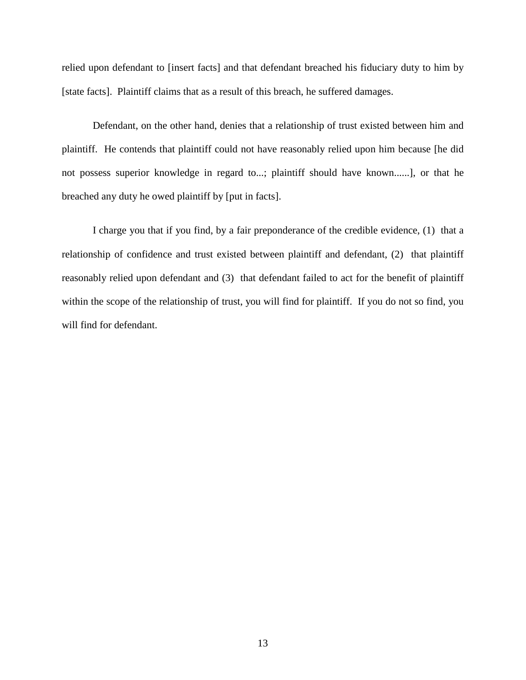relied upon defendant to [insert facts] and that defendant breached his fiduciary duty to him by [state facts]. Plaintiff claims that as a result of this breach, he suffered damages.

Defendant, on the other hand, denies that a relationship of trust existed between him and plaintiff. He contends that plaintiff could not have reasonably relied upon him because [he did not possess superior knowledge in regard to...; plaintiff should have known......], or that he breached any duty he owed plaintiff by [put in facts].

I charge you that if you find, by a fair preponderance of the credible evidence, (1) that a relationship of confidence and trust existed between plaintiff and defendant, (2) that plaintiff reasonably relied upon defendant and (3) that defendant failed to act for the benefit of plaintiff within the scope of the relationship of trust, you will find for plaintiff. If you do not so find, you will find for defendant.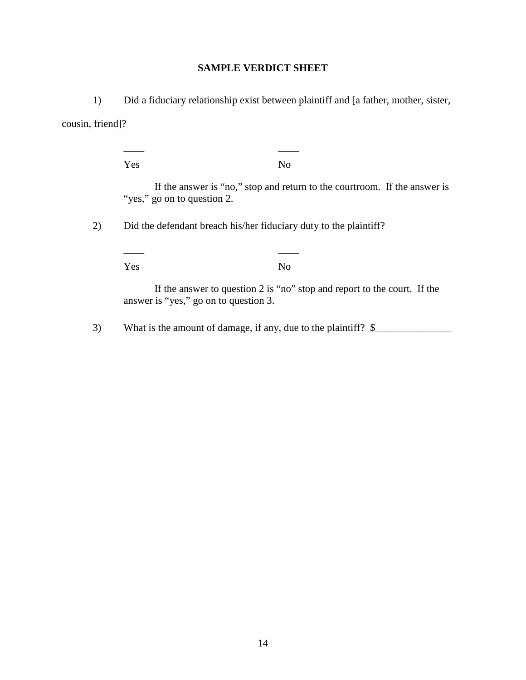# **SAMPLE VERDICT SHEET**

1) Did a fiduciary relationship exist between plaintiff and [a father, mother, sister, cousin, friend]?

\_\_\_\_ \_\_\_\_

Yes No If the answer is "no," stop and return to the courtroom. If the answer is "yes," go on to question 2. 2) Did the defendant breach his/her fiduciary duty to the plaintiff? \_\_\_\_ \_\_\_\_ Yes No If the answer to question 2 is "no" stop and report to the court. If the answer is "yes," go on to question 3.

3) What is the amount of damage, if any, due to the plaintiff?  $\frac{1}{2}$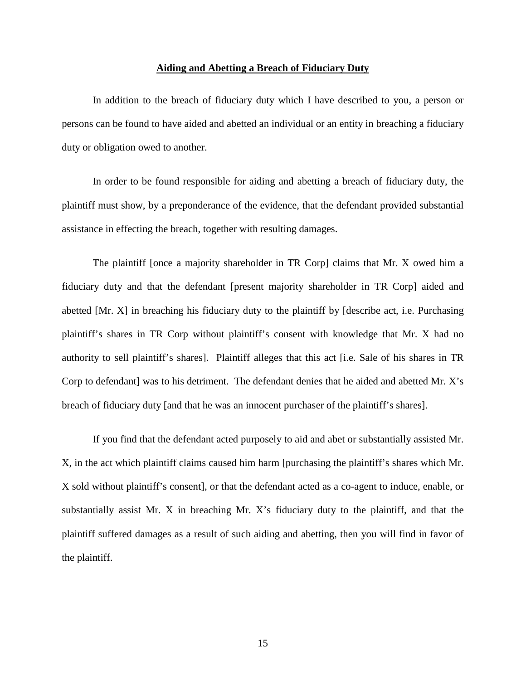#### **Aiding and Abetting a Breach of Fiduciary Duty**

In addition to the breach of fiduciary duty which I have described to you, a person or persons can be found to have aided and abetted an individual or an entity in breaching a fiduciary duty or obligation owed to another.

In order to be found responsible for aiding and abetting a breach of fiduciary duty, the plaintiff must show, by a preponderance of the evidence, that the defendant provided substantial assistance in effecting the breach, together with resulting damages.

The plaintiff [once a majority shareholder in TR Corp] claims that Mr. X owed him a fiduciary duty and that the defendant [present majority shareholder in TR Corp] aided and abetted [Mr. X] in breaching his fiduciary duty to the plaintiff by [describe act, i.e. Purchasing plaintiff's shares in TR Corp without plaintiff's consent with knowledge that Mr. X had no authority to sell plaintiff's shares]. Plaintiff alleges that this act [i.e. Sale of his shares in TR Corp to defendant] was to his detriment. The defendant denies that he aided and abetted Mr. X's breach of fiduciary duty [and that he was an innocent purchaser of the plaintiff's shares].

If you find that the defendant acted purposely to aid and abet or substantially assisted Mr. X, in the act which plaintiff claims caused him harm [purchasing the plaintiff's shares which Mr. X sold without plaintiff's consent], or that the defendant acted as a co-agent to induce, enable, or substantially assist Mr. X in breaching Mr. X's fiduciary duty to the plaintiff, and that the plaintiff suffered damages as a result of such aiding and abetting, then you will find in favor of the plaintiff.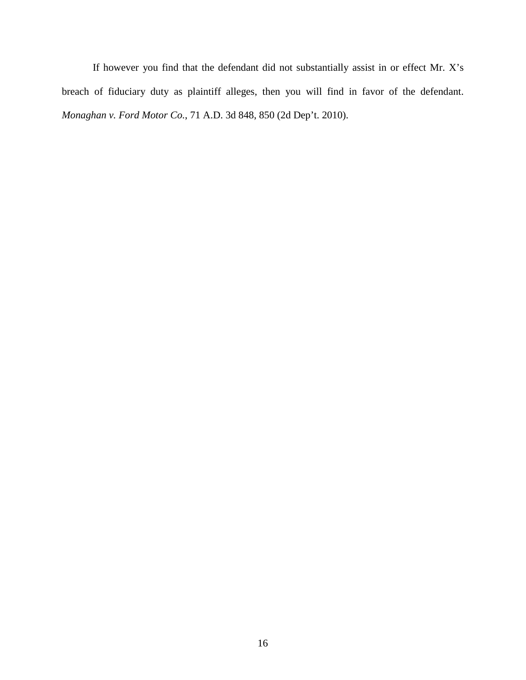If however you find that the defendant did not substantially assist in or effect Mr. X's breach of fiduciary duty as plaintiff alleges, then you will find in favor of the defendant. *Monaghan v. Ford Motor Co.*, 71 A.D. 3d 848, 850 (2d Dep't. 2010).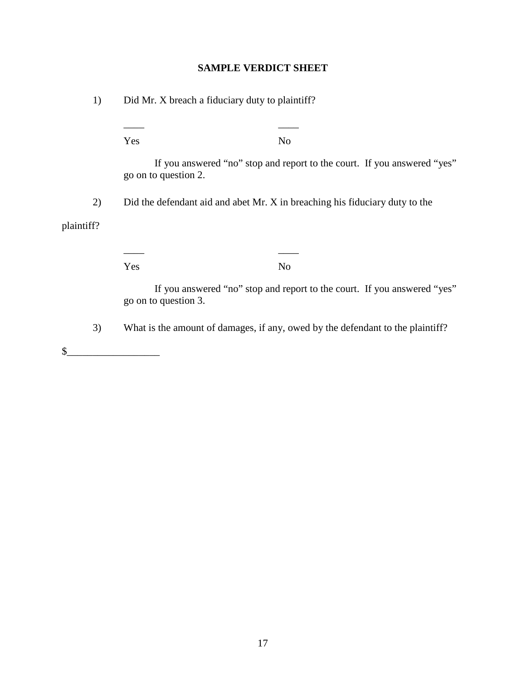# **SAMPLE VERDICT SHEET**

1) Did Mr. X breach a fiduciary duty to plaintiff?

\_\_\_\_ \_\_\_\_ Yes No If you answered "no" stop and report to the court. If you answered "yes" go on to question 2. 2) Did the defendant aid and abet Mr. X in breaching his fiduciary duty to the plaintiff? \_\_\_\_ \_\_\_\_ Yes No If you answered "no" stop and report to the court. If you answered "yes" go on to question 3. 3) What is the amount of damages, if any, owed by the defendant to the plaintiff?  $\frac{1}{2}$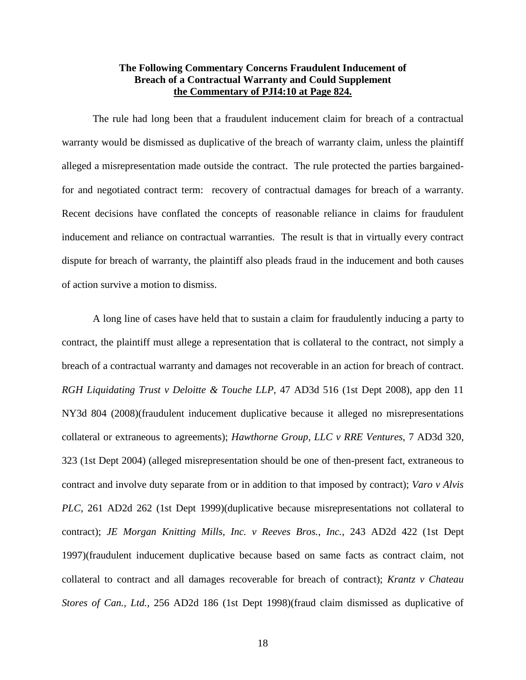## **The Following Commentary Concerns Fraudulent Inducement of Breach of a Contractual Warranty and Could Supplement the Commentary of PJI4:10 at Page 824.**

The rule had long been that a fraudulent inducement claim for breach of a contractual warranty would be dismissed as duplicative of the breach of warranty claim, unless the plaintiff alleged a misrepresentation made outside the contract. The rule protected the parties bargainedfor and negotiated contract term: recovery of contractual damages for breach of a warranty. Recent decisions have conflated the concepts of reasonable reliance in claims for fraudulent inducement and reliance on contractual warranties. The result is that in virtually every contract dispute for breach of warranty, the plaintiff also pleads fraud in the inducement and both causes of action survive a motion to dismiss.

A long line of cases have held that to sustain a claim for fraudulently inducing a party to contract, the plaintiff must allege a representation that is collateral to the contract, not simply a breach of a contractual warranty and damages not recoverable in an action for breach of contract. *RGH Liquidating Trust v Deloitte & Touche LLP*, 47 AD3d 516 (1st Dept 2008), app den 11 NY3d 804 (2008)(fraudulent inducement duplicative because it alleged no misrepresentations collateral or extraneous to agreements); *Hawthorne Group, LLC v RRE Ventures*, 7 AD3d 320, 323 (1st Dept 2004) (alleged misrepresentation should be one of then-present fact, extraneous to contract and involve duty separate from or in addition to that imposed by contract); *Varo v Alvis PLC*, 261 AD2d 262 (1st Dept 1999)(duplicative because misrepresentations not collateral to contract); *JE Morgan Knitting Mills, Inc. v Reeves Bros., Inc.*, 243 AD2d 422 (1st Dept 1997)(fraudulent inducement duplicative because based on same facts as contract claim, not collateral to contract and all damages recoverable for breach of contract); *Krantz v Chateau Stores of Can., Ltd.*, 256 AD2d 186 (1st Dept 1998)(fraud claim dismissed as duplicative of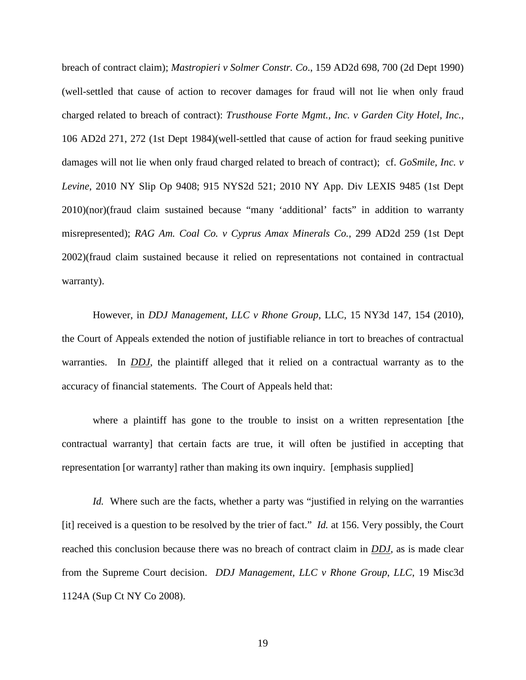breach of contract claim); *Mastropieri v Solmer Constr. Co*., 159 AD2d 698, 700 (2d Dept 1990) (well-settled that cause of action to recover damages for fraud will not lie when only fraud charged related to breach of contract): *Trusthouse Forte Mgmt., Inc. v Garden City Hotel, Inc.*, 106 AD2d 271, 272 (1st Dept 1984)(well-settled that cause of action for fraud seeking punitive damages will not lie when only fraud charged related to breach of contract); cf. *GoSmile, Inc. v Levine*, 2010 NY Slip Op 9408; 915 NYS2d 521; 2010 NY App. Div LEXIS 9485 (1st Dept 2010)(nor)(fraud claim sustained because "many 'additional' facts" in addition to warranty misrepresented); *RAG Am. Coal Co. v Cyprus Amax Minerals Co.*, 299 AD2d 259 (1st Dept 2002)(fraud claim sustained because it relied on representations not contained in contractual warranty).

However, in *DDJ Management, LLC v Rhone Group*, LLC, 15 NY3d 147, 154 (2010), the Court of Appeals extended the notion of justifiable reliance in tort to breaches of contractual warranties. In *DDJ*, the plaintiff alleged that it relied on a contractual warranty as to the accuracy of financial statements. The Court of Appeals held that:

where a plaintiff has gone to the trouble to insist on a written representation [the contractual warranty] that certain facts are true, it will often be justified in accepting that representation [or warranty] rather than making its own inquiry. [emphasis supplied]

*Id.* Where such are the facts, whether a party was "justified in relying on the warranties [it] received is a question to be resolved by the trier of fact." *Id.* at 156. Very possibly, the Court reached this conclusion because there was no breach of contract claim in *DDJ*, as is made clear from the Supreme Court decision. *DDJ Management, LLC v Rhone Group*, *LLC*, 19 Misc3d 1124A (Sup Ct NY Co 2008).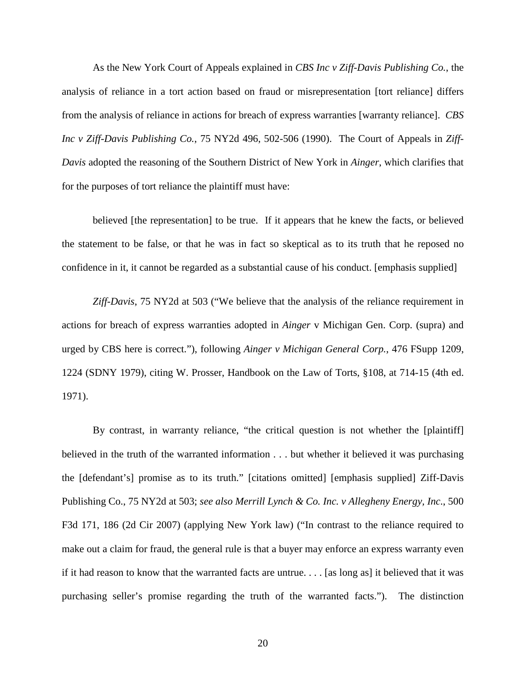As the New York Court of Appeals explained in *CBS Inc v Ziff-Davis Publishing Co.*, the analysis of reliance in a tort action based on fraud or misrepresentation [tort reliance] differs from the analysis of reliance in actions for breach of express warranties [warranty reliance]. *CBS Inc v Ziff-Davis Publishing Co.*, 75 NY2d 496, 502-506 (1990). The Court of Appeals in *Ziff-Davis* adopted the reasoning of the Southern District of New York in *Ainger*, which clarifies that for the purposes of tort reliance the plaintiff must have:

believed [the representation] to be true. If it appears that he knew the facts, or believed the statement to be false, or that he was in fact so skeptical as to its truth that he reposed no confidence in it, it cannot be regarded as a substantial cause of his conduct. [emphasis supplied]

*Ziff-Davis*, 75 NY2d at 503 ("We believe that the analysis of the reliance requirement in actions for breach of express warranties adopted in *Ainger* v Michigan Gen. Corp. (supra) and urged by CBS here is correct."), following *Ainger v Michigan General Corp.*, 476 FSupp 1209, 1224 (SDNY 1979), citing W. Prosser, Handbook on the Law of Torts, §108, at 714-15 (4th ed. 1971).

By contrast, in warranty reliance, "the critical question is not whether the [plaintiff] believed in the truth of the warranted information . . . but whether it believed it was purchasing the [defendant's] promise as to its truth." [citations omitted] [emphasis supplied] Ziff-Davis Publishing Co., 75 NY2d at 503; *see also Merrill Lynch & Co. Inc. v Allegheny Energy, Inc*., 500 F3d 171, 186 (2d Cir 2007) (applying New York law) ("In contrast to the reliance required to make out a claim for fraud, the general rule is that a buyer may enforce an express warranty even if it had reason to know that the warranted facts are untrue. . . . [as long as] it believed that it was purchasing seller's promise regarding the truth of the warranted facts."). The distinction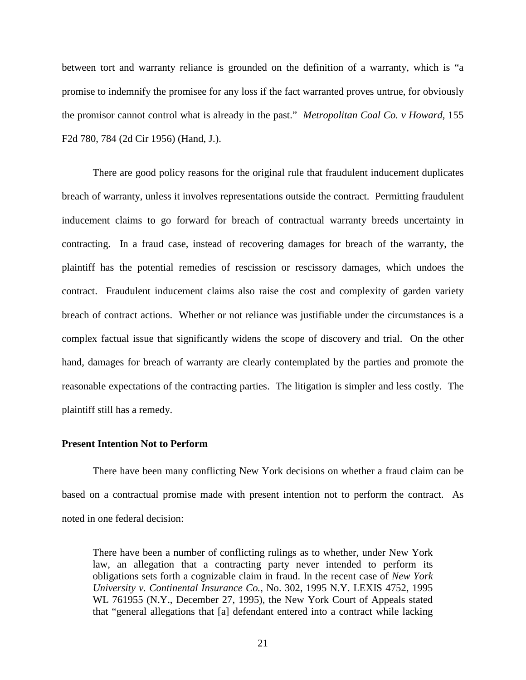between tort and warranty reliance is grounded on the definition of a warranty, which is "a promise to indemnify the promisee for any loss if the fact warranted proves untrue, for obviously the promisor cannot control what is already in the past." *Metropolitan Coal Co. v Howard*, 155 F2d 780, 784 (2d Cir 1956) (Hand, J.).

There are good policy reasons for the original rule that fraudulent inducement duplicates breach of warranty, unless it involves representations outside the contract. Permitting fraudulent inducement claims to go forward for breach of contractual warranty breeds uncertainty in contracting. In a fraud case, instead of recovering damages for breach of the warranty, the plaintiff has the potential remedies of rescission or rescissory damages, which undoes the contract. Fraudulent inducement claims also raise the cost and complexity of garden variety breach of contract actions. Whether or not reliance was justifiable under the circumstances is a complex factual issue that significantly widens the scope of discovery and trial. On the other hand, damages for breach of warranty are clearly contemplated by the parties and promote the reasonable expectations of the contracting parties. The litigation is simpler and less costly. The plaintiff still has a remedy.

## **Present Intention Not to Perform**

There have been many conflicting New York decisions on whether a fraud claim can be based on a contractual promise made with present intention not to perform the contract. As noted in one federal decision:

There have been a number of conflicting rulings as to whether, under New York law, an allegation that a contracting party never intended to perform its obligations sets forth a cognizable claim in fraud. In the recent case of *New York University v. Continental Insurance Co.*, No. 302, 1995 N.Y. LEXIS 4752, 1995 WL 761955 (N.Y., December 27, 1995), the New York Court of Appeals stated that "general allegations that [a] defendant entered into a contract while lacking